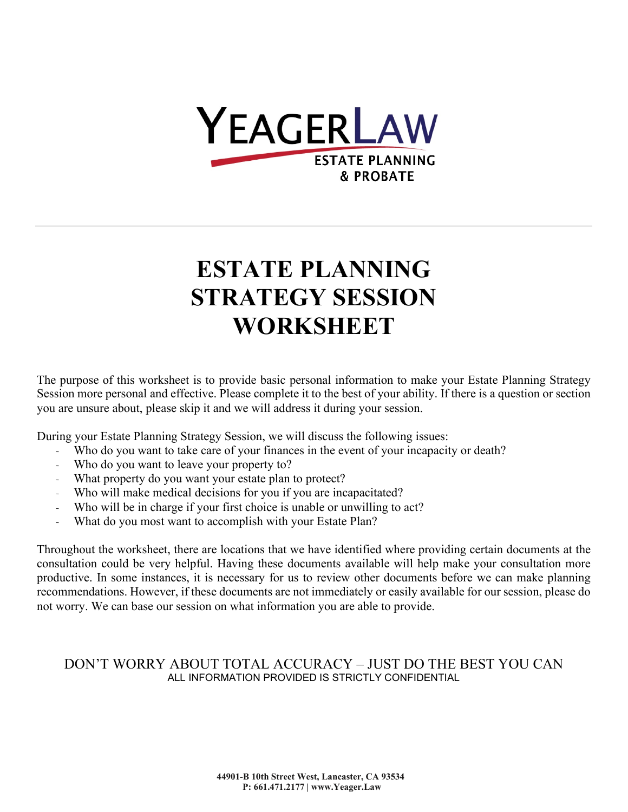

# **ESTATE PLANNING STRATEGY SESSION WORKSHEET**

The purpose of this worksheet is to provide basic personal information to make your Estate Planning Strategy Session more personal and effective. Please complete it to the best of your ability. If there is a question or section you are unsure about, please skip it and we will address it during your session.

During your Estate Planning Strategy Session, we will discuss the following issues:

- Who do you want to take care of your finances in the event of your incapacity or death?
- Who do you want to leave your property to?
- What property do you want your estate plan to protect?
- Who will make medical decisions for you if you are incapacitated?
- Who will be in charge if your first choice is unable or unwilling to act?
- What do you most want to accomplish with your Estate Plan?

Throughout the worksheet, there are locations that we have identified where providing certain documents at the consultation could be very helpful. Having these documents available will help make your consultation more productive. In some instances, it is necessary for us to review other documents before we can make planning recommendations. However, if these documents are not immediately or easily available for our session, please do not worry. We can base our session on what information you are able to provide.

#### DON'T WORRY ABOUT TOTAL ACCURACY – JUST DO THE BEST YOU CAN ALL INFORMATION PROVIDED IS STRICTLY CONFIDENTIAL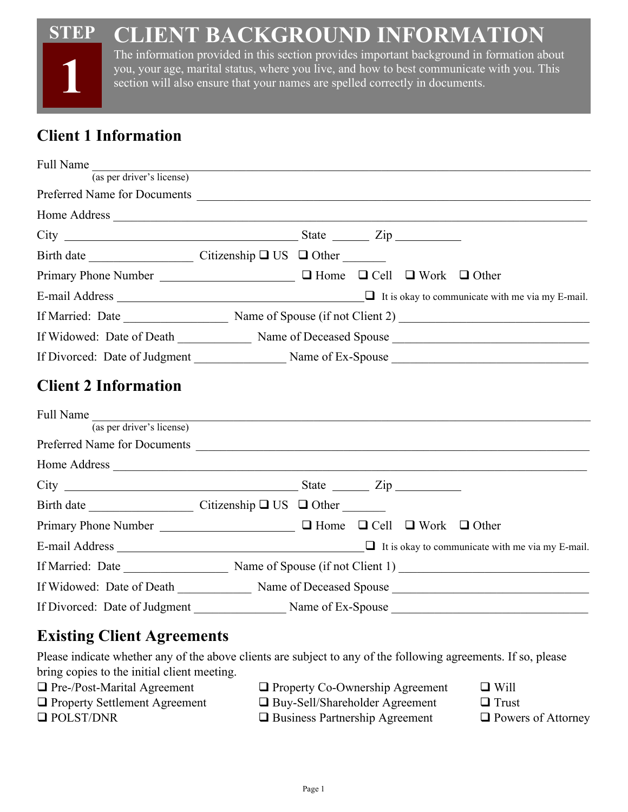#### **STEP CLIENT BACKGROUND INFORMATION**



The information provided in this section provides important background in formation about you, your age, marital status, where you live, and how to best communicate with you. This section will also ensure that your names are spelled correctly in documents.

# **Client 1 Information**

| Full Name                                                                                   |  |  |  |
|---------------------------------------------------------------------------------------------|--|--|--|
| (a <sub>s</sub> per driver's license)                                                       |  |  |  |
|                                                                                             |  |  |  |
|                                                                                             |  |  |  |
|                                                                                             |  |  |  |
|                                                                                             |  |  |  |
| Primary Phone Number <u>Number</u> 2 Home 2 Cell 2 Work 2 Other                             |  |  |  |
| E-mail Address $\Box$ It is okay to communicate with me via my E-mail.                      |  |  |  |
|                                                                                             |  |  |  |
| If Widowed: Date of Death Mame of Deceased Spouse                                           |  |  |  |
|                                                                                             |  |  |  |
| <b>Client 2 Information</b>                                                                 |  |  |  |
| Full Name<br>(as per driver's license)                                                      |  |  |  |
| Preferred Name for Documents                                                                |  |  |  |
|                                                                                             |  |  |  |
|                                                                                             |  |  |  |
| Birth date $\qquad \qquad \text{Citizenship } \Box \text{ US } \Box \text{ Other } \square$ |  |  |  |
| Primary Phone Number _______________________ □ Home □ Cell □ Work □ Other                   |  |  |  |
|                                                                                             |  |  |  |
|                                                                                             |  |  |  |
| If Widowed: Date of Death Name of Deceased Spouse Name of Deceased Spouse                   |  |  |  |
|                                                                                             |  |  |  |
|                                                                                             |  |  |  |

# **Existing Client Agreements**

Please indicate whether any of the above clients are subject to any of the following agreements. If so, please bring copies to the initial client meeting.

| $\Box$ Pre-/Post-Marital Agreement   | $\Box$ Property Co-Ownership Agreement | $\Box$ Will               |
|--------------------------------------|----------------------------------------|---------------------------|
| $\Box$ Property Settlement Agreement | $\Box$ Buy-Sell/Shareholder Agreement  | $\Box$ Trust              |
| $\Box$ POLST/DNR                     | $\Box$ Business Partnership Agreement  | $\Box$ Powers of Attorney |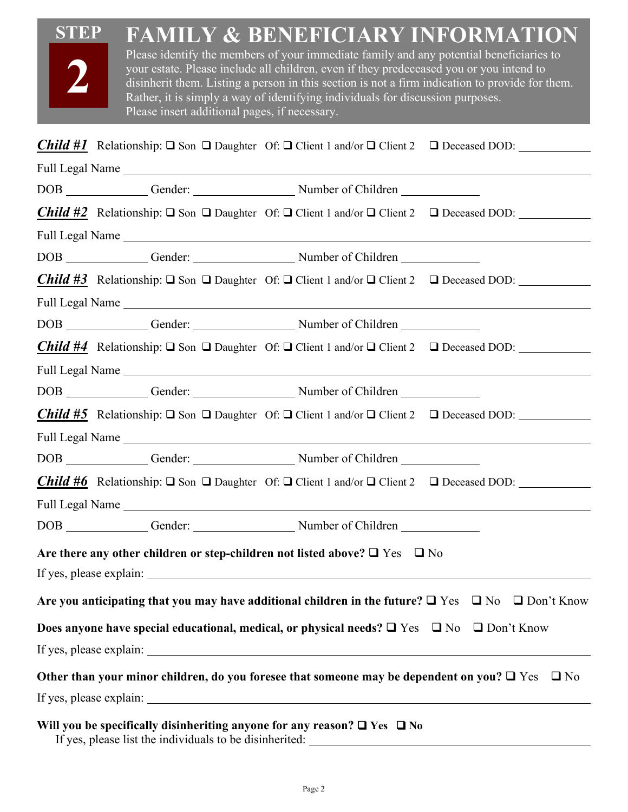| <b>STEP</b><br><b>FAMILY &amp; BENEFICIARY INFORMATION</b><br>Please identify the members of your immediate family and any potential beneficiaries to<br>your estate. Please include all children, even if they predeceased you or you intend to<br>disinherit them. Listing a person in this section is not a firm indication to provide for them.<br>Rather, it is simply a way of identifying individuals for discussion purposes.<br>Please insert additional pages, if necessary. |
|----------------------------------------------------------------------------------------------------------------------------------------------------------------------------------------------------------------------------------------------------------------------------------------------------------------------------------------------------------------------------------------------------------------------------------------------------------------------------------------|
| <b>Child #1</b> Relationship: $\Box$ Son $\Box$ Daughter Of: $\Box$ Client 1 and/or $\Box$ Client 2 $\Box$ Deceased DOD:                                                                                                                                                                                                                                                                                                                                                               |
|                                                                                                                                                                                                                                                                                                                                                                                                                                                                                        |
|                                                                                                                                                                                                                                                                                                                                                                                                                                                                                        |
| <b>Child #2</b> Relationship: $\Box$ Son $\Box$ Daughter Of: $\Box$ Client 1 and/or $\Box$ Client 2 $\Box$ Deceased DOD:                                                                                                                                                                                                                                                                                                                                                               |
|                                                                                                                                                                                                                                                                                                                                                                                                                                                                                        |
|                                                                                                                                                                                                                                                                                                                                                                                                                                                                                        |
| <b>Child #3</b> Relationship: $\Box$ Son $\Box$ Daughter Of: $\Box$ Client 1 and/or $\Box$ Client 2 $\Box$ Deceased DOD:                                                                                                                                                                                                                                                                                                                                                               |
|                                                                                                                                                                                                                                                                                                                                                                                                                                                                                        |
|                                                                                                                                                                                                                                                                                                                                                                                                                                                                                        |
| <b>Child #4</b> Relationship: $\Box$ Son $\Box$ Daughter Of: $\Box$ Client 1 and/or $\Box$ Client 2 $\Box$ Deceased DOD:                                                                                                                                                                                                                                                                                                                                                               |
|                                                                                                                                                                                                                                                                                                                                                                                                                                                                                        |
|                                                                                                                                                                                                                                                                                                                                                                                                                                                                                        |
| <b>Child #5</b> Relationship: $\Box$ Son $\Box$ Daughter Of: $\Box$ Client 1 and/or $\Box$ Client 2 $\Box$ Deceased DOD:                                                                                                                                                                                                                                                                                                                                                               |
| Full Legal Name et al. 2016. The set of the set of the set of the set of the set of the set of the set of the set of the set of the set of the set of the set of the set of the set of the set of the set of the set of the se                                                                                                                                                                                                                                                         |
|                                                                                                                                                                                                                                                                                                                                                                                                                                                                                        |
| <b>Child #6</b> Relationship: $\Box$ Son $\Box$ Daughter Of: $\Box$ Client 1 and/or $\Box$ Client 2 $\Box$ Deceased DOD:                                                                                                                                                                                                                                                                                                                                                               |
|                                                                                                                                                                                                                                                                                                                                                                                                                                                                                        |
|                                                                                                                                                                                                                                                                                                                                                                                                                                                                                        |
| Are there any other children or step-children not listed above? $\square$ Yes $\square$ No                                                                                                                                                                                                                                                                                                                                                                                             |
| Are you anticipating that you may have additional children in the future? $\Box$ Yes $\Box$ No $\Box$ Don't Know                                                                                                                                                                                                                                                                                                                                                                       |
| Does anyone have special educational, medical, or physical needs? $\Box$ Yes $\Box$ No $\Box$ Don't Know                                                                                                                                                                                                                                                                                                                                                                               |
|                                                                                                                                                                                                                                                                                                                                                                                                                                                                                        |
| Other than your minor children, do you foresee that someone may be dependent on you? $\Box$ Yes $\Box$ No                                                                                                                                                                                                                                                                                                                                                                              |
|                                                                                                                                                                                                                                                                                                                                                                                                                                                                                        |
| Will you be specifically disinheriting anyone for any reason? $\Box$ Yes $\Box$ No<br>If yes, please list the individuals to be disinherited:                                                                                                                                                                                                                                                                                                                                          |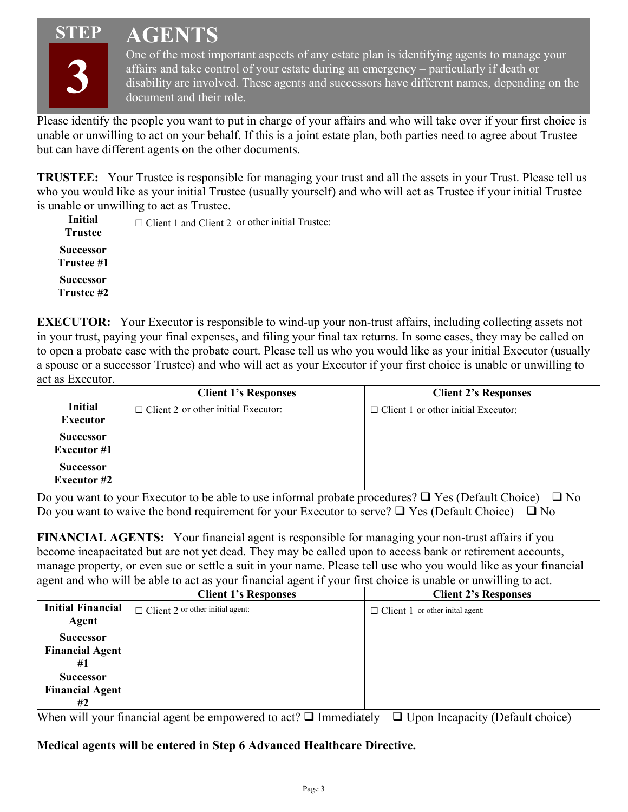# **STEP**





One of the most important aspects of any estate plan is identifying agents to manage your affairs and take control of your estate during an emergency – particularly if death or disability are involved. These agents and successors have different names, depending on the document and their role.

Please identify the people you want to put in charge of your affairs and who will take over if your first choice is unable or unwilling to act on your behalf. If this is a joint estate plan, both parties need to agree about Trustee but can have different agents on the other documents.

**TRUSTEE:** Your Trustee is responsible for managing your trust and all the assets in your Trust. Please tell us who you would like as your initial Trustee (usually yourself) and who will act as Trustee if your initial Trustee is unable or unwilling to act as Trustee.

| <b>Initial</b><br><b>Trustee</b> | $\Box$ Client 1 and Client 2 or other initial Trustee: |
|----------------------------------|--------------------------------------------------------|
| Successor<br>Trustee #1          |                                                        |
| Successor<br>Trustee #2          |                                                        |

**EXECUTOR:** Your Executor is responsible to wind-up your non-trust affairs, including collecting assets not in your trust, paying your final expenses, and filing your final tax returns. In some cases, they may be called on to open a probate case with the probate court. Please tell us who you would like as your initial Executor (usually a spouse or a successor Trustee) and who will act as your Executor if your first choice is unable or unwilling to act as Executor.

|                                        | <b>Client 1's Responses</b>                | <b>Client 2's Responses</b>                |
|----------------------------------------|--------------------------------------------|--------------------------------------------|
| <b>Initial</b><br><b>Executor</b>      | $\Box$ Client 2 or other initial Executor: | $\Box$ Client 1 or other initial Executor: |
| <b>Successor</b><br><b>Executor</b> #1 |                                            |                                            |
| <b>Successor</b><br><b>Executor #2</b> |                                            |                                            |

Do you want to your Executor to be able to use informal probate procedures?  $\Box$  Yes (Default Choice)  $\Box$  No Do you want to waive the bond requirement for your Executor to serve?  $\Box$  Yes (Default Choice)  $\Box$  No

**FINANCIAL AGENTS:** Your financial agent is responsible for managing your non-trust affairs if you become incapacitated but are not yet dead. They may be called upon to access bank or retirement accounts, manage property, or even sue or settle a suit in your name. Please tell use who you would like as your financial agent and who will be able to act as your financial agent if your first choice is unable or unwilling to act.

|                                                  | <b>Client 1's Responses</b>             | <b>Client 2's Responses</b>             |
|--------------------------------------------------|-----------------------------------------|-----------------------------------------|
| <b>Initial Financial</b><br>Agent                | $\Box$ Client 2 or other initial agent: | $\Box$ Client 1 or other initial agent: |
| <b>Successor</b><br><b>Financial Agent</b><br>#1 |                                         |                                         |
| <b>Successor</b><br><b>Financial Agent</b><br>#2 |                                         |                                         |

When will your financial agent be empowered to act?  $\Box$  Immediately  $\Box$  Upon Incapacity (Default choice)

#### **Medical agents will be entered in Step 6 Advanced Healthcare Directive.**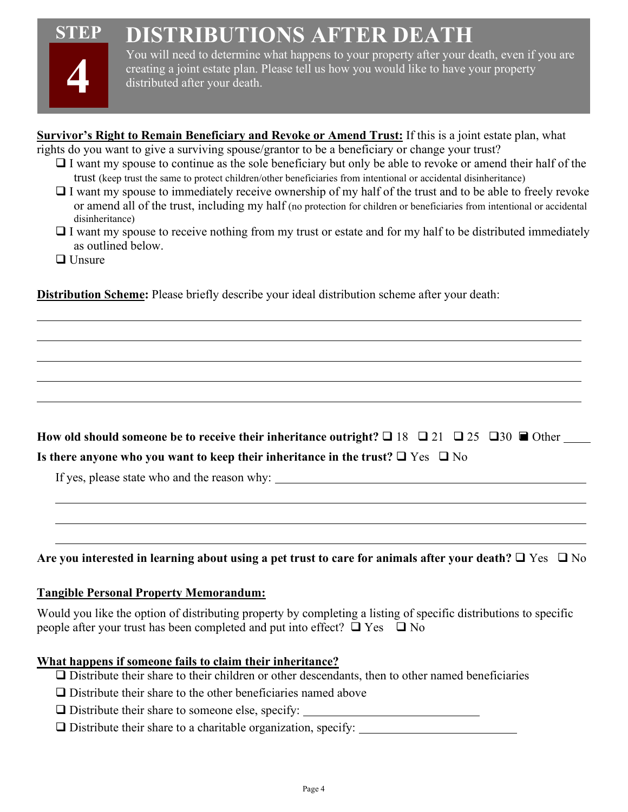#### **STEP DISTRIBUTIONS AFTER DEATH**

**Survivor's Right to Remain Beneficiary and Revoke or Amend Trust:** If this is a joint estate plan, what



You will need to determine what happens to your property after your death, even if you are creating a joint estate plan. Please tell us how you would like to have your property distributed after your death.

| rights do you want to give a surviving spouse/grantor to be a beneficiary or change your trust?                                                                                                                                                                 |
|-----------------------------------------------------------------------------------------------------------------------------------------------------------------------------------------------------------------------------------------------------------------|
| $\Box$ I want my spouse to continue as the sole beneficiary but only be able to revoke or amend their half of the                                                                                                                                               |
| trust (keep trust the same to protect children/other beneficiaries from intentional or accidental disinheritance)                                                                                                                                               |
| $\Box$ I want my spouse to immediately receive ownership of my half of the trust and to be able to freely revoke<br>or amend all of the trust, including my half (no protection for children or beneficiaries from intentional or accidental<br>disinheritance) |
| $\Box$ I want my spouse to receive nothing from my trust or estate and for my half to be distributed immediately<br>as outlined below.                                                                                                                          |
| $\Box$ Unsure                                                                                                                                                                                                                                                   |
| <b>Distribution Scheme:</b> Please briefly describe your ideal distribution scheme after your death:                                                                                                                                                            |
|                                                                                                                                                                                                                                                                 |
|                                                                                                                                                                                                                                                                 |
|                                                                                                                                                                                                                                                                 |
| How ald should someone he to receive their inheritance outwisht $9 \square 10 \square 21 \square 25 \square 20 \square 20$                                                                                                                                      |

**How old should someone be to receive their inheritance outright?**  $\Box$  **18**  $\Box$  **21**  $\Box$  **25**  $\Box$  **30**  $\blacksquare$  **Other Is there anyone who you want to keep their inheritance in the trust?**  $\Box$  Yes  $\Box$  No

If yes, please state who and the reason why:

#### Are you interested in learning about using a pet trust to care for animals after your death?  $\Box$  Yes  $\Box$  No

#### **Tangible Personal Property Memorandum:**

Would you like the option of distributing property by completing a listing of specific distributions to specific people after your trust has been completed and put into effect?  $\Box$  Yes  $\Box$  No

#### **What happens if someone fails to claim their inheritance?**

- Distribute their share to their children or other descendants, then to other named beneficiaries
- $\Box$  Distribute their share to the other beneficiaries named above
- $\Box$  Distribute their share to someone else, specify:
- $\Box$  Distribute their share to a charitable organization, specify: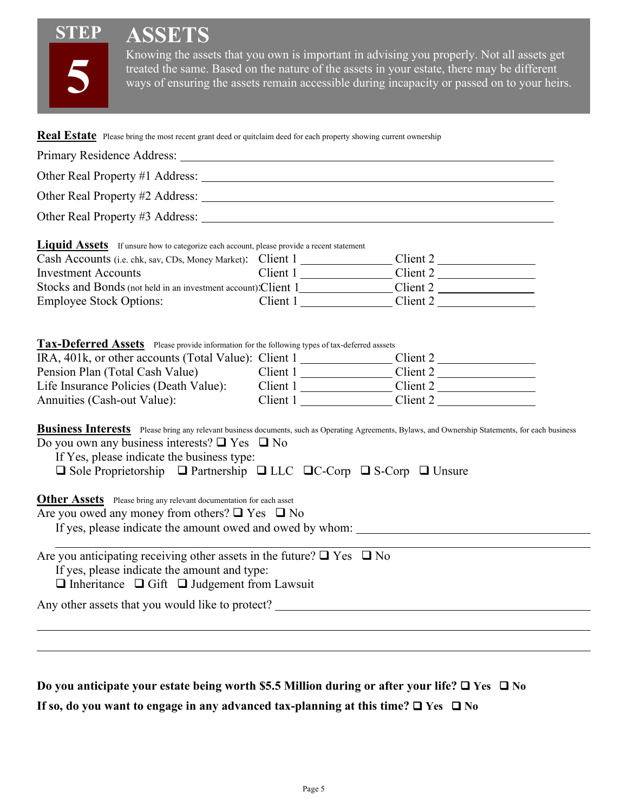# **ASSETS**



**STEP**

Knowing the assets that you own is important in advising you properly. Not all assets get treated the same. Based on the nature of the assets in your estate, there may be different ways of ensuring the assets remain accessible during incapacity or passed on to your heirs.

| Real Estate Please bring the most recent grant deed or quitclaim deed for each property showing current ownership                                                                                           |                                                                                                                                                    |  |
|-------------------------------------------------------------------------------------------------------------------------------------------------------------------------------------------------------------|----------------------------------------------------------------------------------------------------------------------------------------------------|--|
|                                                                                                                                                                                                             |                                                                                                                                                    |  |
|                                                                                                                                                                                                             |                                                                                                                                                    |  |
|                                                                                                                                                                                                             |                                                                                                                                                    |  |
|                                                                                                                                                                                                             |                                                                                                                                                    |  |
|                                                                                                                                                                                                             |                                                                                                                                                    |  |
| <b>Liquid Assets</b> If unsure how to categorize each account, please provide a recent statement                                                                                                            |                                                                                                                                                    |  |
| <b>Investment Accounts</b>                                                                                                                                                                                  | $Client 1$ $Client 2$                                                                                                                              |  |
|                                                                                                                                                                                                             |                                                                                                                                                    |  |
| <b>Employee Stock Options:</b>                                                                                                                                                                              |                                                                                                                                                    |  |
|                                                                                                                                                                                                             |                                                                                                                                                    |  |
|                                                                                                                                                                                                             |                                                                                                                                                    |  |
| Tax-Deferred Assets Please provide information for the following types of tax-deferred asssets                                                                                                              |                                                                                                                                                    |  |
| IRA, 401k, or other accounts (Total Value): Client 1 ________________Client 2 ______________________                                                                                                        |                                                                                                                                                    |  |
| Pension Plan (Total Cash Value) Client 1 Client 2                                                                                                                                                           |                                                                                                                                                    |  |
| Life Insurance Policies (Death Value): Client 1 Client 2<br>Annuities (Cash-out Value):                                                                                                                     | Client 1 Client 2                                                                                                                                  |  |
|                                                                                                                                                                                                             |                                                                                                                                                    |  |
| Do you own any business interests? $\Box$ Yes $\Box$ No<br>If Yes, please indicate the business type:<br>$\Box$ Sole Proprietorship $\Box$ Partnership $\Box$ LLC $\Box$ C-Corp $\Box$ S-Corp $\Box$ Unsure | Business Interests Please bring any relevant business documents, such as Operating Agreements, Bylaws, and Ownership Statements, for each business |  |
| <b>Other Assets</b> Please bring any relevant documentation for each asset                                                                                                                                  |                                                                                                                                                    |  |
| Are you owed any money from others? $\Box$ Yes $\Box$ No                                                                                                                                                    |                                                                                                                                                    |  |
|                                                                                                                                                                                                             |                                                                                                                                                    |  |
| Are you anticipating receiving other assets in the future? $\Box$ Yes $\Box$ No<br>If yes, please indicate the amount and type:<br>$\Box$ Inheritance $\Box$ Gift $\Box$ Judgement from Lawsuit             |                                                                                                                                                    |  |
| Any other assets that you would like to protect?                                                                                                                                                            |                                                                                                                                                    |  |
|                                                                                                                                                                                                             |                                                                                                                                                    |  |
|                                                                                                                                                                                                             |                                                                                                                                                    |  |
|                                                                                                                                                                                                             |                                                                                                                                                    |  |
|                                                                                                                                                                                                             |                                                                                                                                                    |  |
| Do you anticipate your estate being worth \$5.5 Million during or after your life? $\Box$ Yes $\Box$ No                                                                                                     |                                                                                                                                                    |  |

**If so, do you want to engage in any advanced tax-planning at this time?**  $\Box$  **Yes**  $\Box$  **No**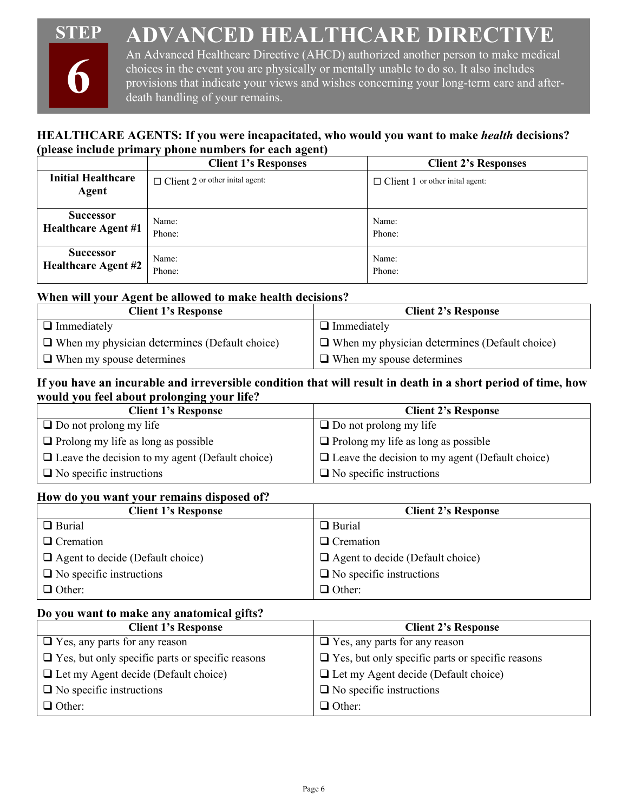#### **STEP ADVANCED HEALTHCARE DIRECTIVE**



An Advanced Healthcare Directive (AHCD) authorized another person to make medical choices in the event you are physically or mentally unable to do so. It also includes provisions that indicate your views and wishes concerning your long-term care and afterdeath handling of your remains.

### **HEALTHCARE AGENTS: If you were incapacitated, who would you want to make** *health* **decisions? (please include primary phone numbers for each agent)**

|                                    | <b>Client 1's Responses</b>             | <b>Client 2's Responses</b>             |
|------------------------------------|-----------------------------------------|-----------------------------------------|
| <b>Initial Healthcare</b><br>Agent | $\Box$ Client 2 or other initial agent: | $\Box$ Client 1 or other initial agent: |
| <b>Successor</b>                   | Name:                                   | Name:                                   |
| <b>Healthcare Agent #1</b>         | Phone:                                  | Phone:                                  |
| <b>Successor</b>                   | Name:                                   | Name:                                   |
| <b>Healthcare Agent #2</b>         | Phone:                                  | Phone:                                  |

#### **When will your Agent be allowed to make health decisions?**

| <b>Client 1's Response</b>                           | <b>Client 2's Response</b>                           |
|------------------------------------------------------|------------------------------------------------------|
| $\Box$ Immediately                                   | $\Box$ Immediately                                   |
| $\Box$ When my physician determines (Default choice) | $\Box$ When my physician determines (Default choice) |
| $\Box$ When my spouse determines                     | $\Box$ When my spouse determines                     |

#### **If you have an incurable and irreversible condition that will result in death in a short period of time, how would you feel about prolonging your life?**

| <b>Client 1's Response</b>                             | <b>Client 2's Response</b>                             |
|--------------------------------------------------------|--------------------------------------------------------|
| $\Box$ Do not prolong my life                          | $\Box$ Do not prolong my life                          |
| $\Box$ Prolong my life as long as possible             | $\Box$ Prolong my life as long as possible             |
| $\Box$ Leave the decision to my agent (Default choice) | $\Box$ Leave the decision to my agent (Default choice) |
| $\Box$ No specific instructions                        | $\Box$ No specific instructions                        |

#### **How do you want your remains disposed of?**

| <b>Client 1's Response</b>              | <b>Client 2's Response</b>              |
|-----------------------------------------|-----------------------------------------|
| $\Box$ Burial                           | $\Box$ Burial                           |
| $\Box$ Cremation                        | $\Box$ Cremation                        |
| $\Box$ Agent to decide (Default choice) | $\Box$ Agent to decide (Default choice) |
| $\Box$ No specific instructions         | $\Box$ No specific instructions         |
| $\Box$ Other:                           | $\Box$ Other:                           |

#### **Do you want to make any anatomical gifts?**

| <b>Client 1's Response</b>                              | <b>Client 2's Response</b>                              |
|---------------------------------------------------------|---------------------------------------------------------|
| $\Box$ Yes, any parts for any reason                    | $\Box$ Yes, any parts for any reason                    |
| $\Box$ Yes, but only specific parts or specific reasons | $\Box$ Yes, but only specific parts or specific reasons |
| $\Box$ Let my Agent decide (Default choice)             | $\Box$ Let my Agent decide (Default choice)             |
| $\Box$ No specific instructions                         | $\Box$ No specific instructions                         |
| $\Box$ Other:                                           | $\Box$ Other:                                           |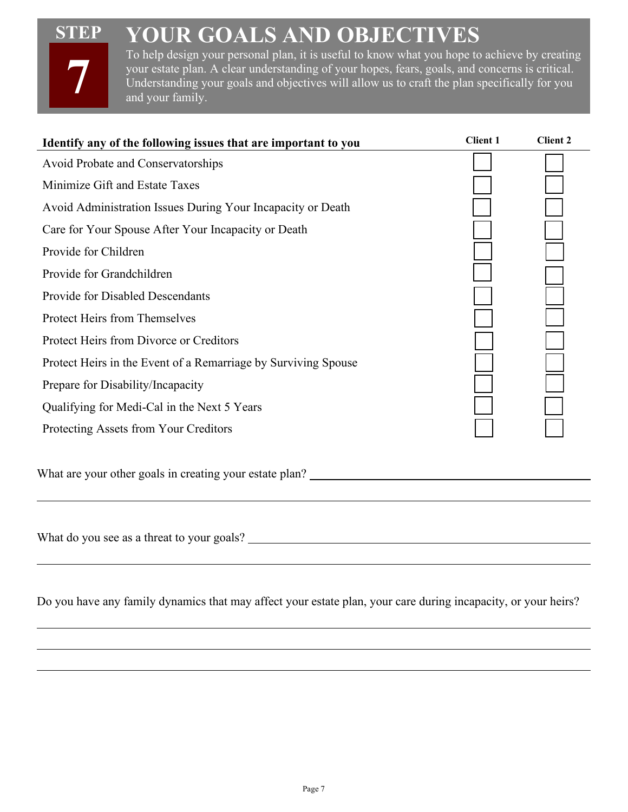# **STEP**

**7**

# **YOUR GOALS AND OBJECTIVES**

To help design your personal plan, it is useful to know what you hope to achieve by creating your estate plan. A clear understanding of your hopes, fears, goals, and concerns is critical. Understanding your goals and objectives will allow us to craft the plan specifically for you and your family.

| Identify any of the following issues that are important to you                                                | <b>Client 1</b> | <b>Client 2</b> |
|---------------------------------------------------------------------------------------------------------------|-----------------|-----------------|
| Avoid Probate and Conservatorships                                                                            |                 |                 |
| Minimize Gift and Estate Taxes                                                                                |                 |                 |
| Avoid Administration Issues During Your Incapacity or Death                                                   |                 |                 |
| Care for Your Spouse After Your Incapacity or Death                                                           |                 |                 |
| Provide for Children                                                                                          |                 |                 |
| Provide for Grandchildren                                                                                     |                 |                 |
| Provide for Disabled Descendants                                                                              |                 |                 |
| Protect Heirs from Themselves                                                                                 |                 |                 |
| Protect Heirs from Divorce or Creditors                                                                       |                 |                 |
| Protect Heirs in the Event of a Remarriage by Surviving Spouse                                                |                 |                 |
| Prepare for Disability/Incapacity                                                                             |                 |                 |
| Qualifying for Medi-Cal in the Next 5 Years                                                                   |                 |                 |
| Protecting Assets from Your Creditors                                                                         |                 |                 |
| What are your other goals in creating your estate plan? _________________________                             |                 |                 |
|                                                                                                               |                 |                 |
|                                                                                                               |                 |                 |
|                                                                                                               |                 |                 |
| Do you have any family dynamics that may affect your estate plan, your care during incapacity, or your heirs? |                 |                 |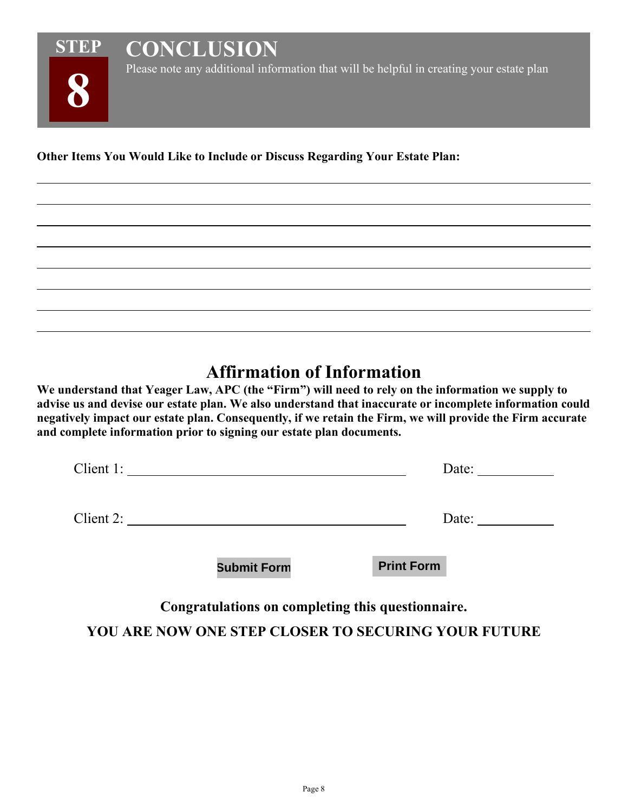

Please note any additional information that will be helpful in creating your estate plan

**Other Items You Would Like to Include or Discuss Regarding Your Estate Plan:**

**CONCLUSION**

# **Affirmation of Information**

**We understand that Yeager Law, APC (the "Firm") will need to rely on the information we supply to advise us and devise our estate plan. We also understand that inaccurate or incomplete information could negatively impact our estate plan. Consequently, if we retain the Firm, we will provide the Firm accurate and complete information prior to signing our estate plan documents.** 

| Client 1: |                    | Date:             |  |
|-----------|--------------------|-------------------|--|
| Client 2: |                    | Date:             |  |
|           | <b>Submit Form</b> | <b>Print Form</b> |  |

**Congratulations on completing this questionnaire.**

**YOU ARE NOW ONE STEP CLOSER TO SECURING YOUR FUTURE**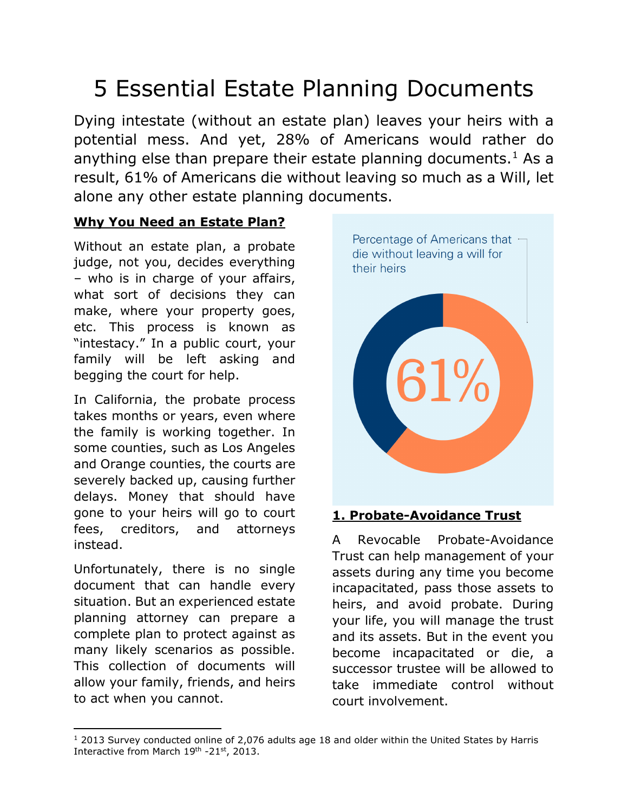# 5 Essential Estate Planning Documents

Dying intestate (without an estate plan) leaves your heirs with a potential mess. And yet, 28% of Americans would rather do anything else than prepare their estate planning documents.<sup>[1](#page-9-0)</sup> As a result, 61% of Americans die without leaving so much as a Will, let alone any other estate planning documents.

## **Why You Need an Estate Plan?**

Without an estate plan, a probate judge, not you, decides everything – who is in charge of your affairs, what sort of decisions they can make, where your property goes, etc. This process is known as "intestacy." In a public court, your family will be left asking and begging the court for help.

In California, the probate process takes months or years, even where the family is working together. In some counties, such as Los Angeles and Orange counties, the courts are severely backed up, causing further delays. Money that should have gone to your heirs will go to court fees, creditors, and attorneys instead.

Unfortunately, there is no single document that can handle every situation. But an experienced estate planning attorney can prepare a complete plan to protect against as many likely scenarios as possible. This collection of documents will allow your family, friends, and heirs to act when you cannot.



### **1. Probate-Avoidance Trust**

A Revocable Probate-Avoidance Trust can help management of your assets during any time you become incapacitated, pass those assets to heirs, and avoid probate. During your life, you will manage the trust and its assets. But in the event you become incapacitated or die, a successor trustee will be allowed to take immediate control without court involvement.

<span id="page-9-0"></span> $12013$  Survey conducted online of 2,076 adults age 18 and older within the United States by Harris Interactive from March 19th -21st, 2013.